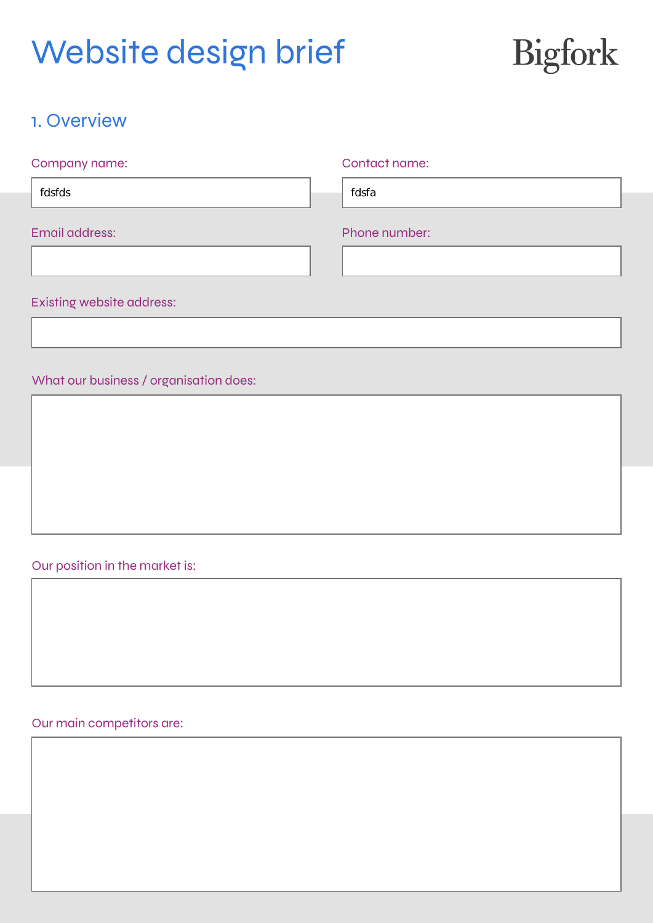

## 1. Overview

| Company name:             | Contact name: |
|---------------------------|---------------|
| fdsfds                    | fdsfa         |
| Email address:            | Phone number: |
|                           |               |
| Existing website address: |               |

### What our business / organisation does:

### Our position in the market is:

### Our main competitors are: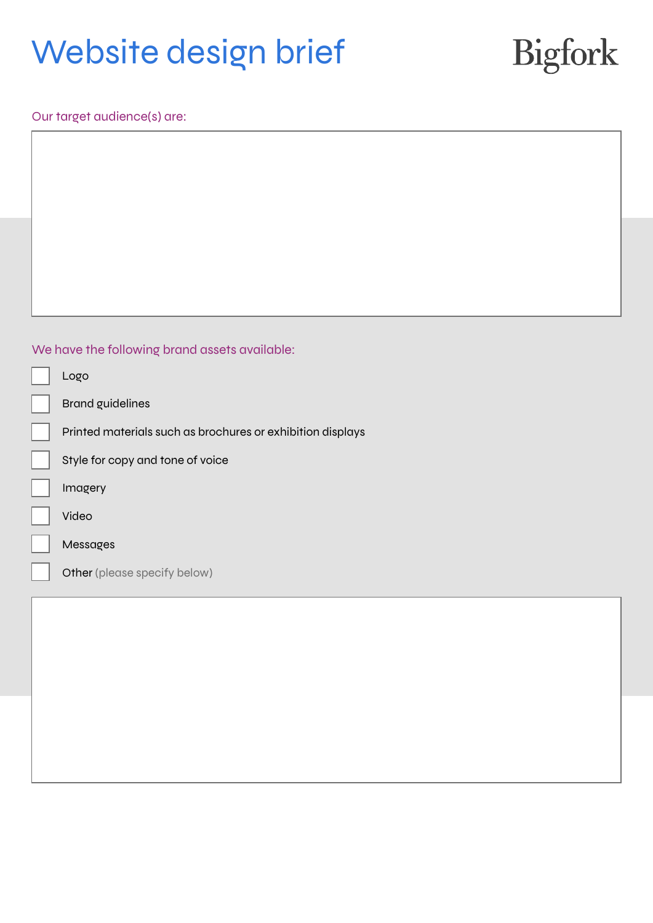# Bigfork

Our target audience(s) are:

### We have the following brand assets available:

| Logo                                                       |
|------------------------------------------------------------|
| <b>Brand guidelines</b>                                    |
| Printed materials such as brochures or exhibition displays |
| Style for copy and tone of voice                           |
| Imagery                                                    |
| Video                                                      |
| Messages                                                   |
| Other (please specify below)                               |
|                                                            |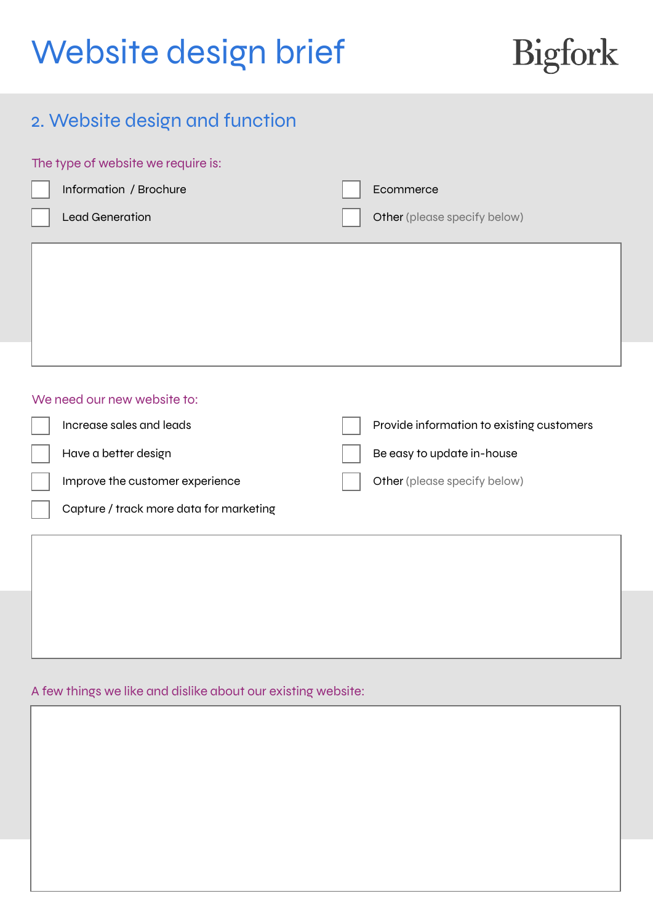# Bigfork

## 2. Website design and function

| The type of website we require is: |                                         |  |                                           |
|------------------------------------|-----------------------------------------|--|-------------------------------------------|
|                                    | Information / Brochure                  |  | Ecommerce                                 |
|                                    | <b>Lead Generation</b>                  |  | Other (please specify below)              |
|                                    |                                         |  |                                           |
|                                    | We need our new website to:             |  |                                           |
|                                    | Increase sales and leads                |  | Provide information to existing customers |
|                                    | Have a better design                    |  | Be easy to update in-house                |
|                                    | Improve the customer experience         |  | Other (please specify below)              |
|                                    | Capture / track more data for marketing |  |                                           |
|                                    |                                         |  |                                           |
|                                    |                                         |  |                                           |
|                                    |                                         |  |                                           |
|                                    |                                         |  |                                           |

### A few things we like and dislike about our existing website: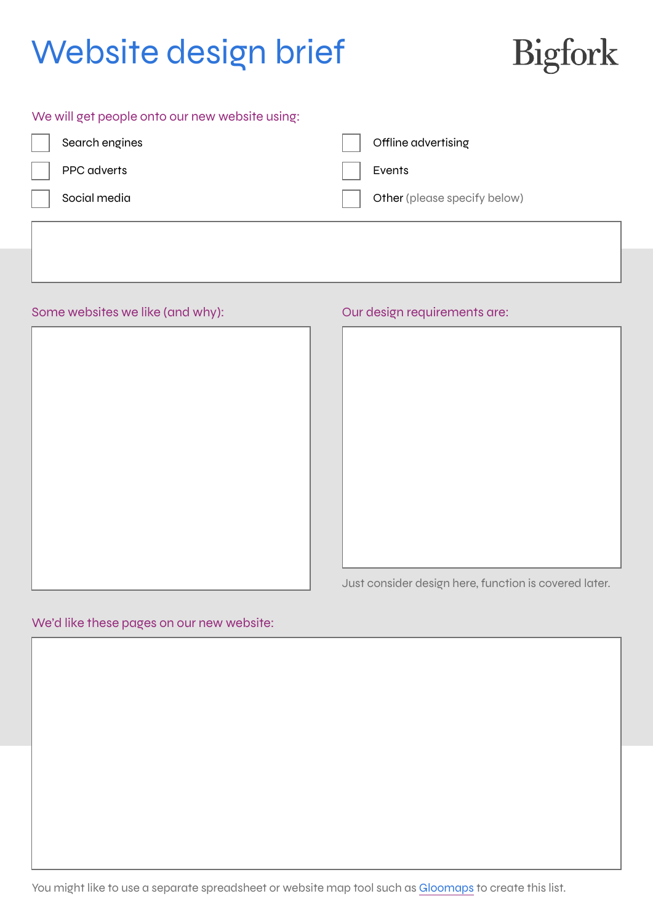# Bigfork

| We will get people onto our new website using: |                              |
|------------------------------------------------|------------------------------|
| Search engines                                 | Offline advertising          |
| PPC adverts                                    | Events                       |
| Social media                                   | Other (please specify below) |
|                                                |                              |

Some websites we like (and why):  $\qquad \qquad$  Our design requirements are:

|  | . . |  |
|--|-----|--|
|  |     |  |
|  |     |  |
|  |     |  |
|  |     |  |
|  |     |  |
|  |     |  |
|  |     |  |
|  |     |  |
|  |     |  |
|  |     |  |
|  |     |  |
|  |     |  |
|  |     |  |
|  |     |  |
|  |     |  |
|  |     |  |
|  |     |  |
|  |     |  |
|  |     |  |
|  |     |  |
|  |     |  |
|  |     |  |
|  |     |  |
|  |     |  |
|  |     |  |
|  |     |  |
|  |     |  |
|  |     |  |
|  |     |  |
|  |     |  |
|  |     |  |

Just consider design here, function is covered later.

### We'd like these pages on our new website:

You might like to use a separate spreadsheet or website map tool such as [Gloomaps](https://www.gloomaps.com/) to create this list.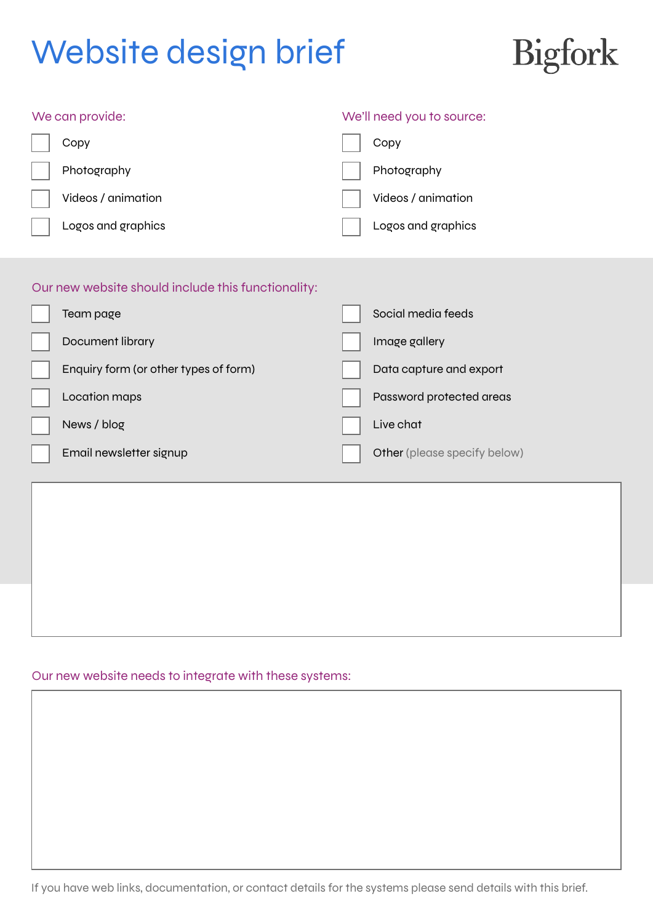

### We can provide:  $\blacksquare$

| Copy               | Copy               |
|--------------------|--------------------|
| Photography        | Photography        |
| Videos / animation | Videos / animation |
| Logos and graphics | Logos and graphics |

## Our new website should include this functionality:

| Team page                             | Social media feeds           |
|---------------------------------------|------------------------------|
| Document library                      | Image gallery                |
| Enquiry form (or other types of form) | Data capture and export      |
| Location maps                         | Password protected areas     |
| News / blog                           | Live chat                    |
| Email newsletter signup               | Other (please specify below) |

### Our new website needs to integrate with these systems: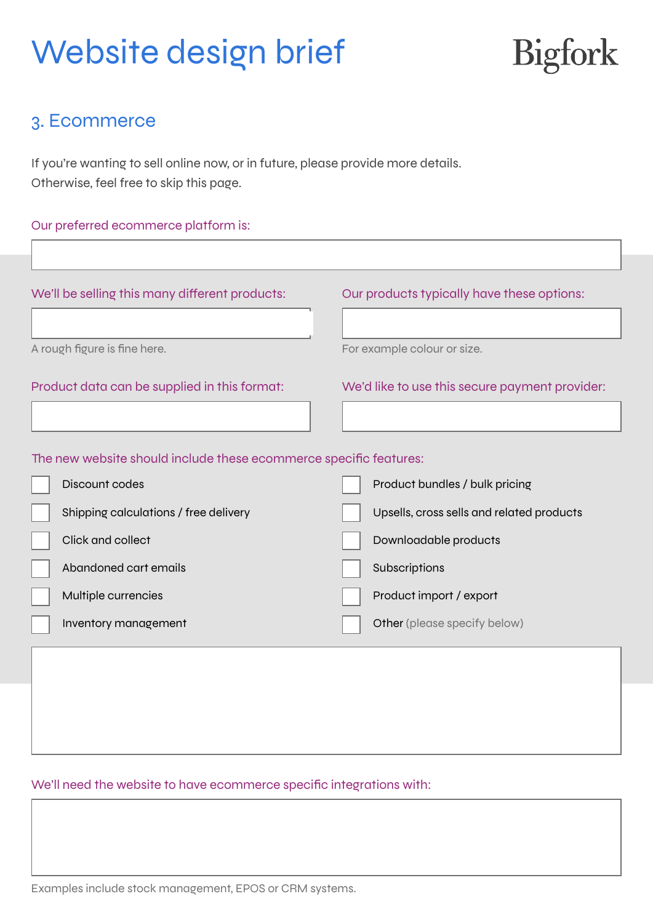# Bigfork

## 3. Ecommerce

Г

If you're wanting to sell online now, or in future, please provide more details. Otherwise, feel free to skip this page.

### Our preferred ecommerce platform is:

| We'll be selling this many different products:                    | Our products typically have these options:     |
|-------------------------------------------------------------------|------------------------------------------------|
|                                                                   |                                                |
| A rough figure is fine here.                                      | For example colour or size.                    |
| Product data can be supplied in this format:                      | We'd like to use this secure payment provider: |
|                                                                   |                                                |
| The new website should include these ecommerce specific features: |                                                |
| Discount codes                                                    | Product bundles / bulk pricing                 |
| Shipping calculations / free delivery                             | Upsells, cross sells and related products      |
| Click and collect                                                 | Downloadable products                          |
| Abandoned cart emails                                             | Subscriptions                                  |
| Multiple currencies                                               | Product import / export                        |
| Inventory management                                              | Other (please specify below)                   |
|                                                                   |                                                |
|                                                                   |                                                |
|                                                                   |                                                |
|                                                                   |                                                |

### We'll need the website to have ecommerce specific integrations with:

Examples include stock management, EPOS or CRM systems.